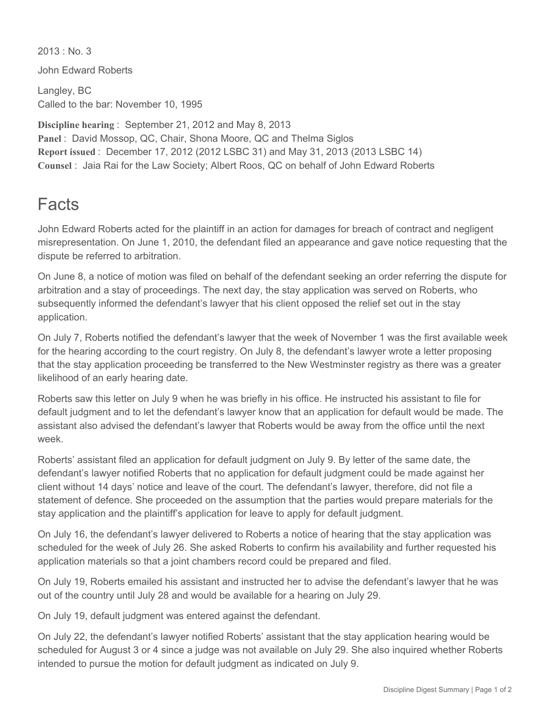$2013 \cdot$  No. 3

John Edward Roberts

Langley, BC Called to the bar: November 10, 1995

**Discipline hearing** : September 21, 2012 and May 8, 2013 **Panel** : David Mossop, QC, Chair, Shona Moore, QC and Thelma Siglos **Report issued** : December 17, 2012 (2012 LSBC 31) and May 31, 2013 (2013 LSBC 14) **Counsel** : Jaia Rai for the Law Society; Albert Roos, QC on behalf of John Edward Roberts

## Facts

John Edward Roberts acted for the plaintiff in an action for damages for breach of contract and negligent misrepresentation. On June 1, 2010, the defendant filed an appearance and gave notice requesting that the dispute be referred to arbitration.

On June 8, a notice of motion was filed on behalf of the defendant seeking an order referring the dispute for arbitration and a stay of proceedings. The next day, the stay application was served on Roberts, who subsequently informed the defendant's lawyer that his client opposed the relief set out in the stay application.

On July 7, Roberts notified the defendant's lawyer that the week of November 1 was the first available week for the hearing according to the court registry. On July 8, the defendant's lawyer wrote a letter proposing that the stay application proceeding be transferred to the New Westminster registry as there was a greater likelihood of an early hearing date.

Roberts saw this letter on July 9 when he was briefly in his office. He instructed his assistant to file for default judgment and to let the defendant's lawyer know that an application for default would be made. The assistant also advised the defendant's lawyer that Roberts would be away from the office until the next week.

Roberts' assistant filed an application for default judgment on July 9. By letter of the same date, the defendant's lawyer notified Roberts that no application for default judgment could be made against her client without 14 days' notice and leave of the court. The defendant's lawyer, therefore, did not file a statement of defence. She proceeded on the assumption that the parties would prepare materials for the stay application and the plaintiff's application for leave to apply for default judgment.

On July 16, the defendant's lawyer delivered to Roberts a notice of hearing that the stay application was scheduled for the week of July 26. She asked Roberts to confirm his availability and further requested his application materials so that a joint chambers record could be prepared and filed.

On July 19, Roberts emailed his assistant and instructed her to advise the defendant's lawyer that he was out of the country until July 28 and would be available for a hearing on July 29.

On July 19, default judgment was entered against the defendant.

On July 22, the defendant's lawyer notified Roberts' assistant that the stay application hearing would be scheduled for August 3 or 4 since a judge was not available on July 29. She also inquired whether Roberts intended to pursue the motion for default judgment as indicated on July 9.